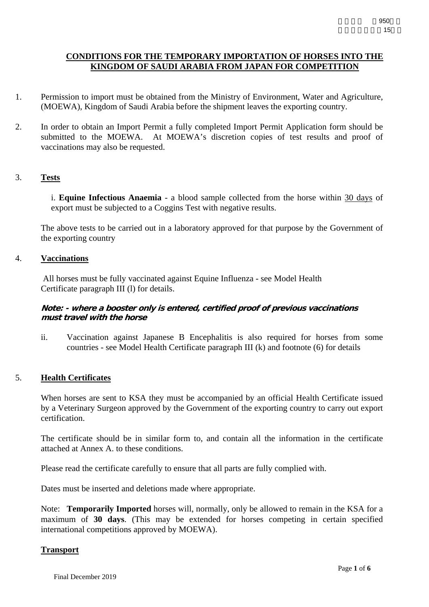# **CONDITIONS FOR THE TEMPORARY IMPORTATION OF HORSES INTO THE KINGDOM OF SAUDI ARABIA FROM JAPAN FOR COMPETITION**

- 1. Permission to import must be obtained from the Ministry of Environment, Water and Agriculture, (MOEWA), Kingdom of Saudi Arabia before the shipment leaves the exporting country.
- 2. In order to obtain an Import Permit a fully completed Import Permit Application form should be submitted to the MOEWA. At MOEWA's discretion copies of test results and proof of vaccinations may also be requested.

# 3. **Tests**

 i. **Equine Infectious Anaemia** - a blood sample collected from the horse within 30 days of export must be subjected to a Coggins Test with negative results.

 The above tests to be carried out in a laboratory approved for that purpose by the Government of the exporting country

### 4. **Vaccinations**

 All horses must be fully vaccinated against Equine Influenza - see Model Health Certificate paragraph III (l) for details.

## **Note: - where a booster only is entered, certified proof of previous vaccinations must travel with the horse**

 ii. Vaccination against Japanese B Encephalitis is also required for horses from some countries - see Model Health Certificate paragraph III (k) and footnote (6) for details

## 5. **Health Certificates**

 When horses are sent to KSA they must be accompanied by an official Health Certificate issued by a Veterinary Surgeon approved by the Government of the exporting country to carry out export certification.

 The certificate should be in similar form to, and contain all the information in the certificate attached at Annex A. to these conditions.

Please read the certificate carefully to ensure that all parts are fully complied with.

Dates must be inserted and deletions made where appropriate.

 Note: **Temporarily Imported** horses will, normally, only be allowed to remain in the KSA for a maximum of **30 days**. (This may be extended for horses competing in certain specified international competitions approved by MOEWA).

## **Transport**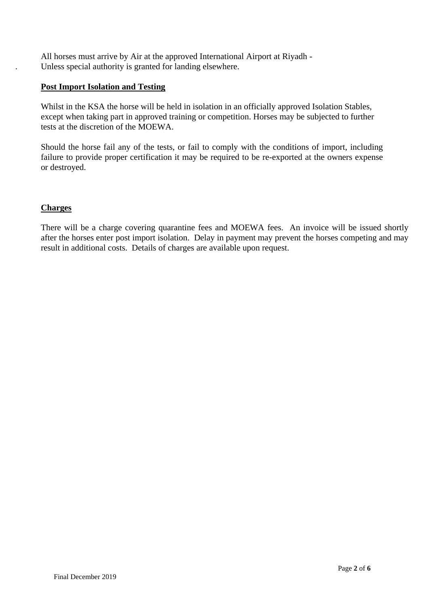All horses must arrive by Air at the approved International Airport at Riyadh - . Unless special authority is granted for landing elsewhere.

# **Post Import Isolation and Testing**

 Whilst in the KSA the horse will be held in isolation in an officially approved Isolation Stables, except when taking part in approved training or competition. Horses may be subjected to further tests at the discretion of the MOEWA.

 Should the horse fail any of the tests, or fail to comply with the conditions of import, including failure to provide proper certification it may be required to be re-exported at the owners expense or destroyed.

# **Charges**

There will be a charge covering quarantine fees and MOEWA fees. An invoice will be issued shortly after the horses enter post import isolation. Delay in payment may prevent the horses competing and may result in additional costs. Details of charges are available upon request.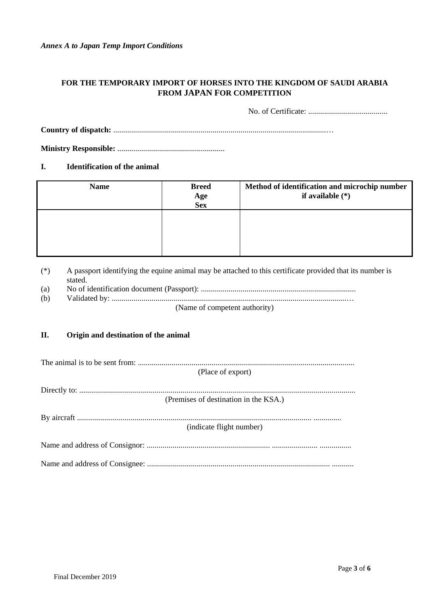*Annex A to Japan Temp Import Conditions* 

# **FOR THE TEMPORARY IMPORT OF HORSES INTO THE KINGDOM OF SAUDI ARABIA FROM JAPAN FOR COMPETITION**

No. of Certificate: ........................................

**Country of dispatch:** ...........................................................................................................…

**Ministry Responsible:** ......................................................

### **I. Identification of the animal**

| <b>Name</b> | <b>Breed</b><br>Age<br>Sex | Method of identification and microchip number<br>if available $(*)$ |
|-------------|----------------------------|---------------------------------------------------------------------|
|             |                            |                                                                     |
|             |                            |                                                                     |

(\*) A passport identifying the equine animal may be attached to this certificate provided that its number is stated.

- (a) No of identification document (Passport): ..............................................................................
- (b) Validated by: ......................................................................................................................…

(Name of competent authority)

## **II. Origin and destination of the animal**

| (Place of export)                     |  |  |  |  |
|---------------------------------------|--|--|--|--|
|                                       |  |  |  |  |
|                                       |  |  |  |  |
| (Premises of destination in the KSA.) |  |  |  |  |
|                                       |  |  |  |  |
|                                       |  |  |  |  |
|                                       |  |  |  |  |
| (indicate flight number)              |  |  |  |  |
|                                       |  |  |  |  |
|                                       |  |  |  |  |
|                                       |  |  |  |  |
|                                       |  |  |  |  |
|                                       |  |  |  |  |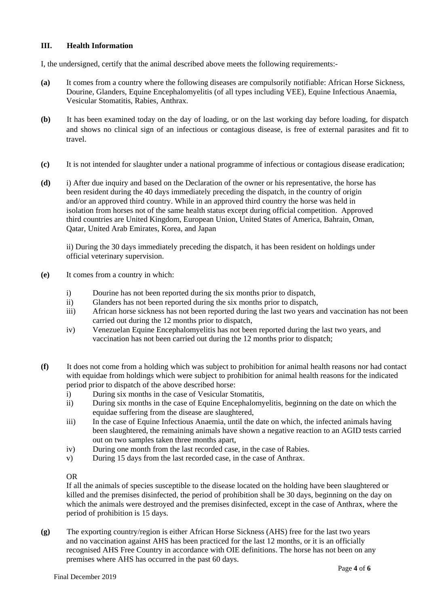### **III. Health Information**

I, the undersigned, certify that the animal described above meets the following requirements:-

- **(a)** It comes from a country where the following diseases are compulsorily notifiable: African Horse Sickness, Dourine, Glanders, Equine Encephalomyelitis (of all types including VEE), Equine Infectious Anaemia, Vesicular Stomatitis, Rabies, Anthrax.
- **(b)** It has been examined today on the day of loading, or on the last working day before loading, for dispatch and shows no clinical sign of an infectious or contagious disease, is free of external parasites and fit to travel.
- **(c)** It is not intended for slaughter under a national programme of infectious or contagious disease eradication;
- **(d)** i) After due inquiry and based on the Declaration of the owner or his representative, the horse has been resident during the 40 days immediately preceding the dispatch, in the country of origin and/or an approved third country. While in an approved third country the horse was held in isolation from horses not of the same health status except during official competition. Approved third countries are United Kingdom, European Union, United States of America, Bahrain, Oman, Qatar, United Arab Emirates, Korea, and Japan

ii) During the 30 days immediately preceding the dispatch, it has been resident on holdings under official veterinary supervision.

- **(e)** It comes from a country in which:
	- i) Dourine has not been reported during the six months prior to dispatch,
	- ii) Glanders has not been reported during the six months prior to dispatch,
	- iii) African horse sickness has not been reported during the last two years and vaccination has not been carried out during the 12 months prior to dispatch,
	- iv) Venezuelan Equine Encephalomyelitis has not been reported during the last two years, and vaccination has not been carried out during the 12 months prior to dispatch;
- **(f)** It does not come from a holding which was subject to prohibition for animal health reasons nor had contact with equidae from holdings which were subject to prohibition for animal health reasons for the indicated period prior to dispatch of the above described horse:
	- i) During six months in the case of Vesicular Stomatitis,
	- ii) During six months in the case of Equine Encephalomyelitis, beginning on the date on which the equidae suffering from the disease are slaughtered,
	- iii) In the case of Equine Infectious Anaemia, until the date on which, the infected animals having been slaughtered, the remaining animals have shown a negative reaction to an AGID tests carried out on two samples taken three months apart,
	- iv) During one month from the last recorded case, in the case of Rabies.
	- v) During 15 days from the last recorded case, in the case of Anthrax.

#### OR

If all the animals of species susceptible to the disease located on the holding have been slaughtered or killed and the premises disinfected, the period of prohibition shall be 30 days, beginning on the day on which the animals were destroyed and the premises disinfected, except in the case of Anthrax, where the period of prohibition is 15 days.

**(g)** The exporting country/region is either African Horse Sickness (AHS) free for the last two years and no vaccination against AHS has been practiced for the last 12 months, or it is an officially recognised AHS Free Country in accordance with OIE definitions. The horse has not been on any premises where AHS has occurred in the past 60 days.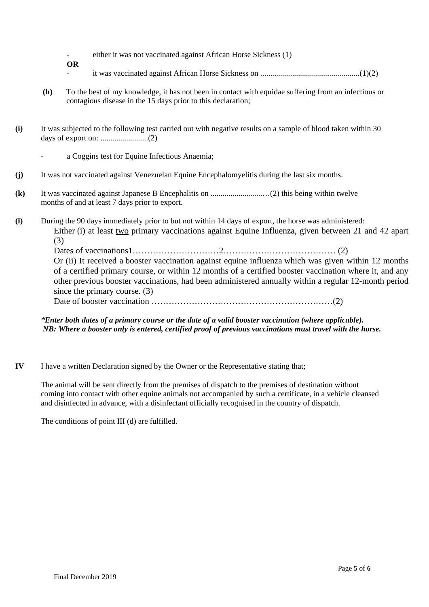- either it was not vaccinated against African Horse Sickness (1)
- **OR**  - it was vaccinated against African Horse Sickness on ..................................................(1)(2)
- **(h)** To the best of my knowledge, it has not been in contact with equidae suffering from an infectious or contagious disease in the 15 days prior to this declaration;
- **(i)** It was subjected to the following test carried out with negative results on a sample of blood taken within 30 days of export on: ........................(2)
	- a Coggins test for Equine Infectious Anaemia;
- **(j)** It was not vaccinated against Venezuelan Equine Encephalomyelitis during the last six months.
- **(k)** It was vaccinated against Japanese B Encephalitis on ..........................…(2) this being within twelve months of and at least 7 days prior to export.
- **(l)** During the 90 days immediately prior to but not within 14 days of export, the horse was administered: Either (i) at least two primary vaccinations against Equine Influenza, given between 21 and 42 apart (3)

Dates of vaccinations1…………………………2………………………………… (2) Or (ii) It received a booster vaccination against equine influenza which was given within 12 months of a certified primary course, or within 12 months of a certified booster vaccination where it, and any other previous booster vaccinations, had been administered annually within a regular 12-month period since the primary course. (3)

Date of booster vaccination ………………………………………………………(2)

## *\*Enter both dates of a primary course or the date of a valid booster vaccination (where applicable). NB: Where a booster only is entered, certified proof of previous vaccinations must travel with the horse.*

**IV** I have a written Declaration signed by the Owner or the Representative stating that;

 The animal will be sent directly from the premises of dispatch to the premises of destination without coming into contact with other equine animals not accompanied by such a certificate, in a vehicle cleansed and disinfected in advance, with a disinfectant officially recognised in the country of dispatch.

The conditions of point III (d) are fulfilled.